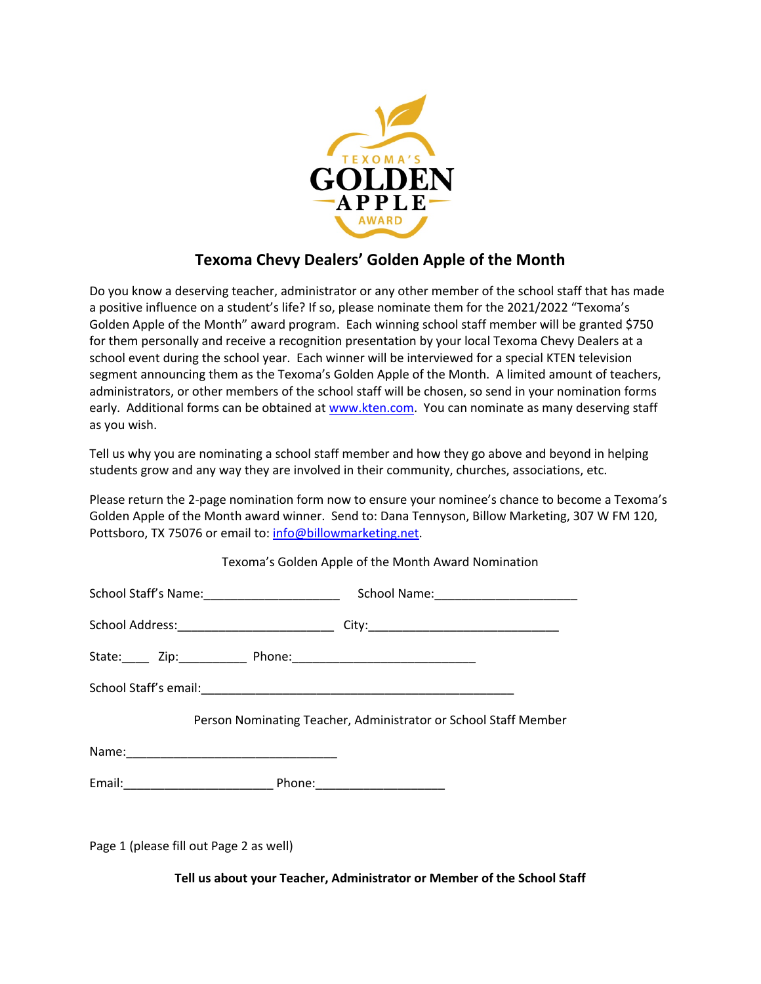

## **Texoma Chevy Dealers' Golden Apple of the Month**

Do you know a deserving teacher, administrator or any other member of the school staff that has made a positive influence on a student's life? If so, please nominate them for the 2021/2022 "Texoma's Golden Apple of the Month" award program. Each winning school staff member will be granted \$750 for them personally and receive a recognition presentation by your local Texoma Chevy Dealers at a school event during the school year. Each winner will be interviewed for a special KTEN television segment announcing them as the Texoma's Golden Apple of the Month. A limited amount of teachers, administrators, or other members of the school staff will be chosen, so send in your nomination forms early. Additional forms can be obtained at www.kten.com. You can nominate as many deserving staff as you wish.

Tell us why you are nominating a school staff member and how they go above and beyond in helping students grow and any way they are involved in their community, churches, associations, etc.

Please return the 2-page nomination form now to ensure your nominee's chance to become a Texoma's Golden Apple of the Month award winner. Send to: Dana Tennyson, Billow Marketing, 307 W FM 120, Pottsboro, TX 75076 or email to: info@billowmarketing.net.

| Texoma's Golden Apple of the Month Award Nomination             |  |
|-----------------------------------------------------------------|--|
|                                                                 |  |
|                                                                 |  |
|                                                                 |  |
|                                                                 |  |
| Person Nominating Teacher, Administrator or School Staff Member |  |
|                                                                 |  |
|                                                                 |  |
|                                                                 |  |
| Page 1 (please fill out Page 2 as well)                         |  |

**Tell us about your Teacher, Administrator or Member of the School Staff**